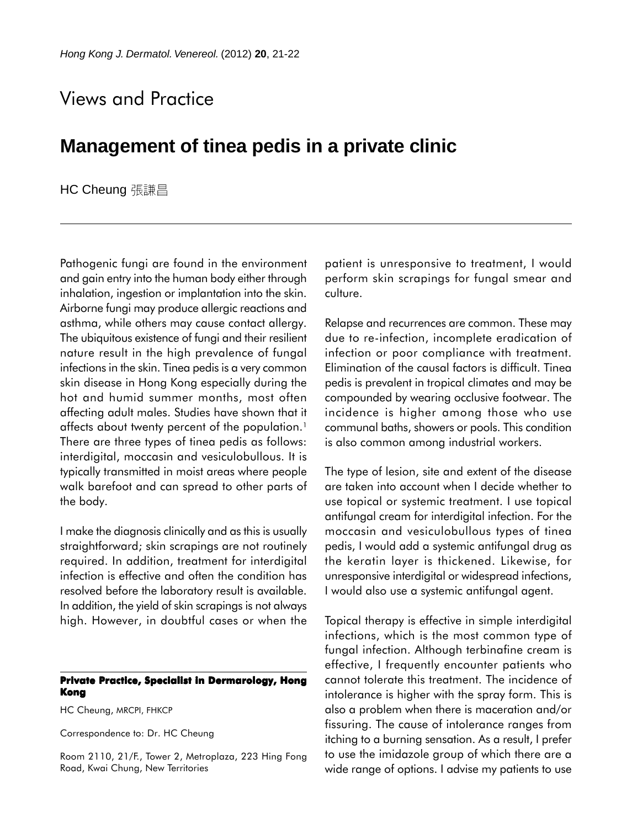## Views and Practice

## **Management of tinea pedis in a private clinic**

HC Cheung 張謙昌

Pathogenic fungi are found in the environment and gain entry into the human body either through inhalation, ingestion or implantation into the skin. Airborne fungi may produce allergic reactions and asthma, while others may cause contact allergy. The ubiquitous existence of fungi and their resilient nature result in the high prevalence of fungal infections in the skin. Tinea pedis is a very common skin disease in Hong Kong especially during the hot and humid summer months, most often affecting adult males. Studies have shown that it affects about twenty percent of the population.<sup>1</sup> There are three types of tinea pedis as follows: interdigital, moccasin and vesiculobullous. It is typically transmitted in moist areas where people walk barefoot and can spread to other parts of the body.

I make the diagnosis clinically and as this is usually straightforward; skin scrapings are not routinely required. In addition, treatment for interdigital infection is effective and often the condition has resolved before the laboratory result is available. In addition, the yield of skin scrapings is not always high. However, in doubtful cases or when the

## **Private Practice, Specialist in Dermarology, Hong Kong**

HC Cheung, MRCPI, FHKCP

Correspondence to: Dr. HC Cheung

Room 2110, 21/F., Tower 2, Metroplaza, 223 Hing Fong Road, Kwai Chung, New Territories

patient is unresponsive to treatment, I would perform skin scrapings for fungal smear and culture.

Relapse and recurrences are common. These may due to re-infection, incomplete eradication of infection or poor compliance with treatment. Elimination of the causal factors is difficult. Tinea pedis is prevalent in tropical climates and may be compounded by wearing occlusive footwear. The incidence is higher among those who use communal baths, showers or pools. This condition is also common among industrial workers.

The type of lesion, site and extent of the disease are taken into account when I decide whether to use topical or systemic treatment. I use topical antifungal cream for interdigital infection. For the moccasin and vesiculobullous types of tinea pedis, I would add a systemic antifungal drug as the keratin layer is thickened. Likewise, for unresponsive interdigital or widespread infections, I would also use a systemic antifungal agent.

Topical therapy is effective in simple interdigital infections, which is the most common type of fungal infection. Although terbinafine cream is effective, I frequently encounter patients who cannot tolerate this treatment. The incidence of intolerance is higher with the spray form. This is also a problem when there is maceration and/or fissuring. The cause of intolerance ranges from itching to a burning sensation. As a result, I prefer to use the imidazole group of which there are a wide range of options. I advise my patients to use